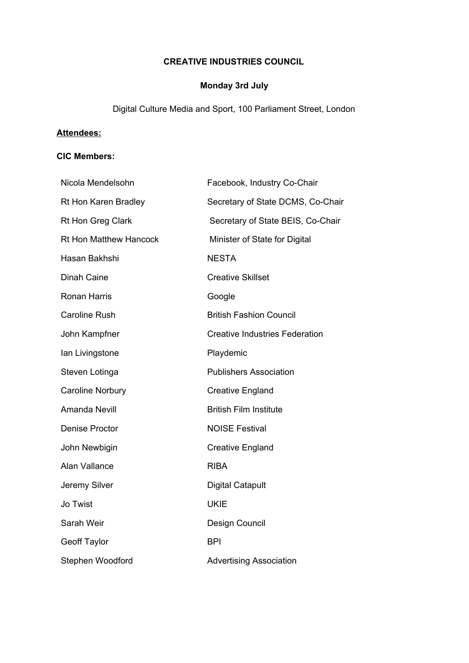## **CREATIVE INDUSTRIES COUNCIL**

# **Monday 3rd July**

Digital Culture Media and Sport, 100 Parliament Street, London

## **Attendees:**

### **CIC Members:**

| Nicola Mendelsohn             | Facebook, Industry Co-Chair           |
|-------------------------------|---------------------------------------|
| Rt Hon Karen Bradley          | Secretary of State DCMS, Co-Chair     |
| Rt Hon Greg Clark             | Secretary of State BEIS, Co-Chair     |
| <b>Rt Hon Matthew Hancock</b> | Minister of State for Digital         |
| Hasan Bakhshi                 | <b>NESTA</b>                          |
| Dinah Caine                   | <b>Creative Skillset</b>              |
| <b>Ronan Harris</b>           | Google                                |
| <b>Caroline Rush</b>          | <b>British Fashion Council</b>        |
| John Kampfner                 | <b>Creative Industries Federation</b> |
| Ian Livingstone               | Playdemic                             |
| Steven Lotinga                | <b>Publishers Association</b>         |
| <b>Caroline Norbury</b>       | <b>Creative England</b>               |
| Amanda Nevill                 | <b>British Film Institute</b>         |
| <b>Denise Proctor</b>         | <b>NOISE Festival</b>                 |
| John Newbigin                 | <b>Creative England</b>               |
| Alan Vallance                 | <b>RIBA</b>                           |
| Jeremy Silver                 | <b>Digital Catapult</b>               |
| Jo Twist                      | <b>UKIE</b>                           |
| Sarah Weir                    | Design Council                        |
| <b>Geoff Taylor</b>           | <b>BPI</b>                            |
| Stephen Woodford              | <b>Advertising Association</b>        |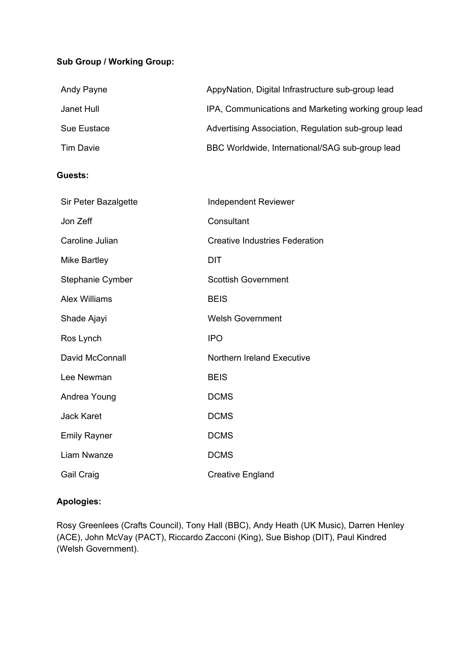## **Sub Group / Working Group:**

| Andy Payne       | AppyNation, Digital Infrastructure sub-group lead    |
|------------------|------------------------------------------------------|
| Janet Hull       | IPA, Communications and Marketing working group lead |
| Sue Eustace      | Advertising Association, Regulation sub-group lead   |
| <b>Tim Davie</b> | BBC Worldwide, International/SAG sub-group lead      |

### **Guests:**

| Sir Peter Bazalgette | <b>Independent Reviewer</b>           |
|----------------------|---------------------------------------|
| Jon Zeff             | Consultant                            |
| Caroline Julian      | <b>Creative Industries Federation</b> |
| Mike Bartley         | DIT                                   |
| Stephanie Cymber     | <b>Scottish Government</b>            |
| <b>Alex Williams</b> | <b>BEIS</b>                           |
| Shade Ajayi          | <b>Welsh Government</b>               |
| Ros Lynch            | <b>IPO</b>                            |
| David McConnall      | Northern Ireland Executive            |
| Lee Newman           | <b>BEIS</b>                           |
| Andrea Young         | <b>DCMS</b>                           |
| <b>Jack Karet</b>    | <b>DCMS</b>                           |
| <b>Emily Rayner</b>  | <b>DCMS</b>                           |
| Liam Nwanze          | <b>DCMS</b>                           |
| Gail Craig           | <b>Creative England</b>               |

### **Apologies:**

Rosy Greenlees (Crafts Council), Tony Hall (BBC), Andy Heath (UK Music), Darren Henley (ACE), John McVay (PACT), Riccardo Zacconi (King), Sue Bishop (DIT), Paul Kindred (Welsh Government).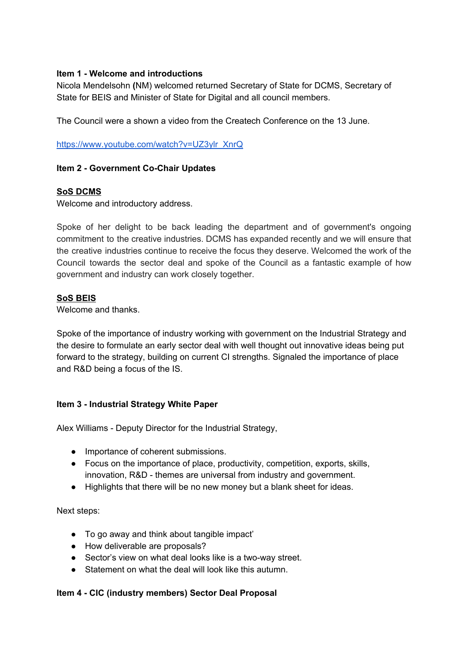### **Item 1 - Welcome and introductions**

Nicola Mendelsohn **(**NM) welcomed returned Secretary of State for DCMS, Secretary of State for BEIS and Minister of State for Digital and all council members.

The Council were a shown a video from the Createch Conference on the 13 June.

[https://www.youtube.com/watch?v=UZ3ylr\\_XnrQ](https://www.youtube.com/watch?v=UZ3ylr_XnrQ)

### **Item 2 - Government Co-Chair Updates**

### **SoS DCMS**

Welcome and introductory address.

Spoke of her delight to be back leading the department and of government's ongoing commitment to the creative industries. DCMS has expanded recently and we will ensure that the creative industries continue to receive the focus they deserve. Welcomed the work of the Council towards the sector deal and spoke of the Council as a fantastic example of how government and industry can work closely together.

#### **SoS BEIS**

Welcome and thanks.

Spoke of the importance of industry working with government on the Industrial Strategy and the desire to formulate an early sector deal with well thought out innovative ideas being put forward to the strategy, building on current CI strengths. Signaled the importance of place and R&D being a focus of the IS.

#### **Item 3 - Industrial Strategy White Paper**

Alex Williams - Deputy Director for the Industrial Strategy,

- Importance of coherent submissions.
- Focus on the importance of place, productivity, competition, exports, skills, innovation, R&D - themes are universal from industry and government.
- Highlights that there will be no new money but a blank sheet for ideas.

Next steps:

- To go away and think about tangible impact'
- How deliverable are proposals?
- Sector's view on what deal looks like is a two-way street.
- Statement on what the deal will look like this autumn.

#### **Item 4 - CIC (industry members) Sector Deal Proposal**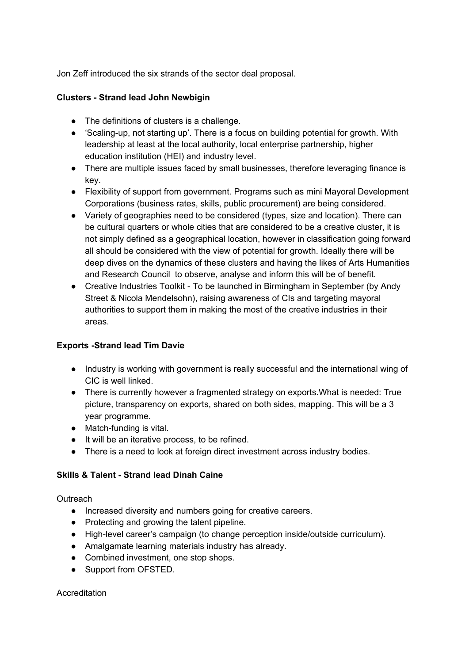Jon Zeff introduced the six strands of the sector deal proposal.

### **Clusters - Strand lead John Newbigin**

- The definitions of clusters is a challenge.
- 'Scaling-up, not starting up'. There is a focus on building potential for growth. With leadership at least at the local authority, local enterprise partnership, higher education institution (HEI) and industry level.
- There are multiple issues faced by small businesses, therefore leveraging finance is key.
- Flexibility of support from government. Programs such as mini Mayoral Development Corporations (business rates, skills, public procurement) are being considered.
- Variety of geographies need to be considered (types, size and location). There can be cultural quarters or whole cities that are considered to be a creative cluster, it is not simply defined as a geographical location, however in classification going forward all should be considered with the view of potential for growth. Ideally there will be deep dives on the dynamics of these clusters and having the likes of Arts Humanities and Research Council to observe, analyse and inform this will be of benefit.
- Creative Industries Toolkit To be launched in Birmingham in September (by Andy Street & Nicola Mendelsohn), raising awareness of CIs and targeting mayoral authorities to support them in making the most of the creative industries in their areas.

## **Exports -Strand lead Tim Davie**

- Industry is working with government is really successful and the international wing of CIC is well linked.
- There is currently however a fragmented strategy on exports.What is needed: True picture, transparency on exports, shared on both sides, mapping. This will be a 3 year programme.
- Match-funding is vital.
- It will be an iterative process, to be refined.
- There is a need to look at foreign direct investment across industry bodies.

## **Skills & Talent - Strand lead Dinah Caine**

**Outreach** 

- Increased diversity and numbers going for creative careers.
- Protecting and growing the talent pipeline.
- High-level career's campaign (to change perception inside/outside curriculum).
- Amalgamate learning materials industry has already.
- Combined investment, one stop shops.
- Support from OFSTED.

Accreditation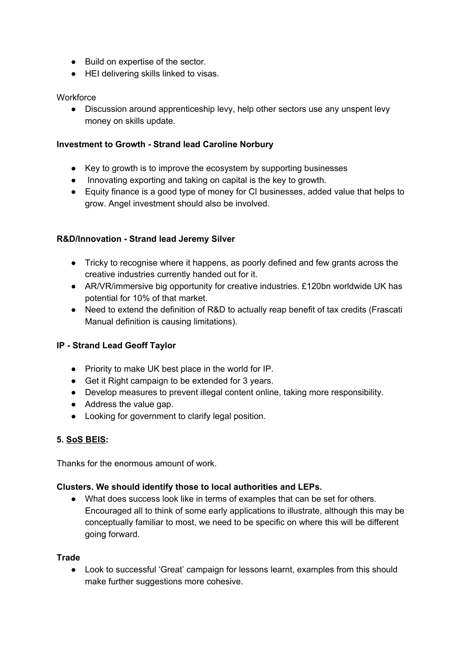- Build on expertise of the sector.
- HEI delivering skills linked to visas.

### **Workforce**

● Discussion around apprenticeship levy, help other sectors use any unspent levy money on skills update.

### **Investment to Growth - Strand lead Caroline Norbury**

- Key to growth is to improve the ecosystem by supporting businesses
- Innovating exporting and taking on capital is the key to growth.
- Equity finance is a good type of money for CI businesses, added value that helps to grow. Angel investment should also be involved.

### **R&D/Innovation - Strand lead Jeremy Silver**

- Tricky to recognise where it happens, as poorly defined and few grants across the creative industries currently handed out for it.
- AR/VR/immersive big opportunity for creative industries. £120bn worldwide UK has potential for 10% of that market.
- Need to extend the definition of R&D to actually reap benefit of tax credits (Frascati Manual definition is causing limitations).

### **IP - Strand Lead Geoff Taylor**

- Priority to make UK best place in the world for IP.
- Get it Right campaign to be extended for 3 years.
- Develop measures to prevent illegal content online, taking more responsibility.
- Address the value gap.
- Looking for government to clarify legal position.

### **5. SoS BEIS:**

Thanks for the enormous amount of work.

### **Clusters. We should identify those to local authorities and LEPs.**

● What does success look like in terms of examples that can be set for others. Encouraged all to think of some early applications to illustrate, although this may be conceptually familiar to most, we need to be specific on where this will be different going forward.

#### **Trade**

● Look to successful 'Great' campaign for lessons learnt, examples from this should make further suggestions more cohesive.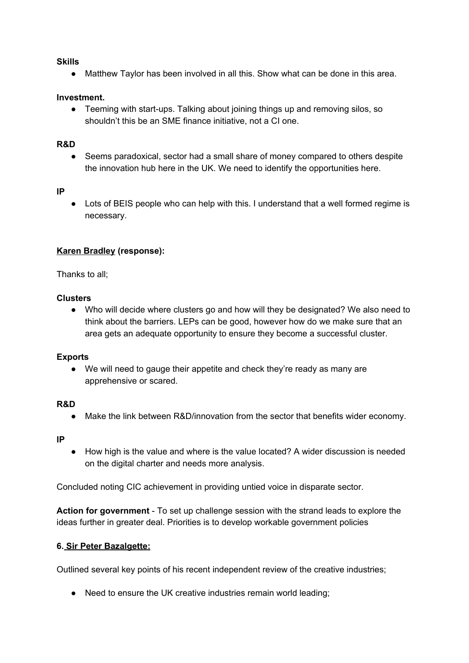#### **Skills**

● Matthew Taylor has been involved in all this. Show what can be done in this area.

#### **Investment.**

● Teeming with start-ups. Talking about joining things up and removing silos, so shouldn't this be an SME finance initiative, not a CI one.

#### **R&D**

● Seems paradoxical, sector had a small share of money compared to others despite the innovation hub here in the UK. We need to identify the opportunities here.

#### **IP**

• Lots of BEIS people who can help with this. I understand that a well formed regime is necessary.

### **Karen Bradley (response):**

Thanks to all;

#### **Clusters**

● Who will decide where clusters go and how will they be designated? We also need to think about the barriers. LEPs can be good, however how do we make sure that an area gets an adequate opportunity to ensure they become a successful cluster.

#### **Exports**

● We will need to gauge their appetite and check they're ready as many are apprehensive or scared.

#### **R&D**

● Make the link between R&D/innovation from the sector that benefits wider economy.

#### **IP**

● How high is the value and where is the value located? A wider discussion is needed on the digital charter and needs more analysis.

Concluded noting CIC achievement in providing untied voice in disparate sector.

**Action for government** - To set up challenge session with the strand leads to explore the ideas further in greater deal. Priorities is to develop workable government policies

#### **6. Sir Peter Bazalgette:**

Outlined several key points of his recent independent review of the creative industries;

● Need to ensure the UK creative industries remain world leading;